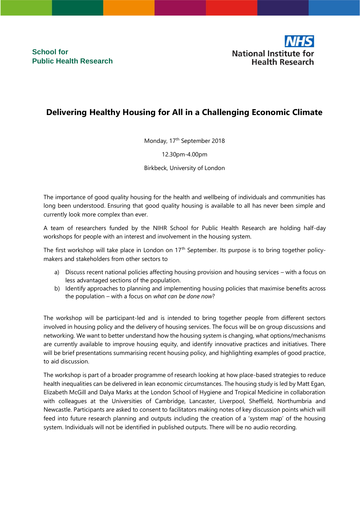**School for Public Health Research** 



## **Delivering Healthy Housing for All in a Challenging Economic Climate**

Monday, 17<sup>th</sup> September 2018

12.30pm-4.00pm

Birkbeck, University of London

The importance of good quality housing for the health and wellbeing of individuals and communities has long been understood. Ensuring that good quality housing is available to all has never been simple and currently look more complex than ever.

A team of researchers funded by the NIHR School for Public Health Research are holding half-day workshops for people with an interest and involvement in the housing system.

The first workshop will take place in London on 17<sup>th</sup> September. Its purpose is to bring together policymakers and stakeholders from other sectors to

- a) Discuss recent national policies affecting housing provision and housing services with a focus on less advantaged sections of the population.
- b) Identify approaches to planning and implementing housing policies that maximise benefits across the population – with a focus on *what can be done now*?

The workshop will be participant-led and is intended to bring together people from different sectors involved in housing policy and the delivery of housing services. The focus will be on group discussions and networking. We want to better understand how the housing system is changing, what options/mechanisms are currently available to improve housing equity, and identify innovative practices and initiatives. There will be brief presentations summarising recent housing policy, and highlighting examples of good practice, to aid discussion.

The workshop is part of a broader programme of research looking at how place-based strategies to reduce health inequalities can be delivered in lean economic circumstances. The housing study is led by Matt Egan, Elizabeth McGill and Dalya Marks at the London School of Hygiene and Tropical Medicine in collaboration with colleagues at the Universities of Cambridge, Lancaster, Liverpool, Sheffield, Northumbria and Newcastle. Participants are asked to consent to facilitators making notes of key discussion points which will feed into future research planning and outputs including the creation of a 'system map' of the housing system. Individuals will not be identified in published outputs. There will be no audio recording.